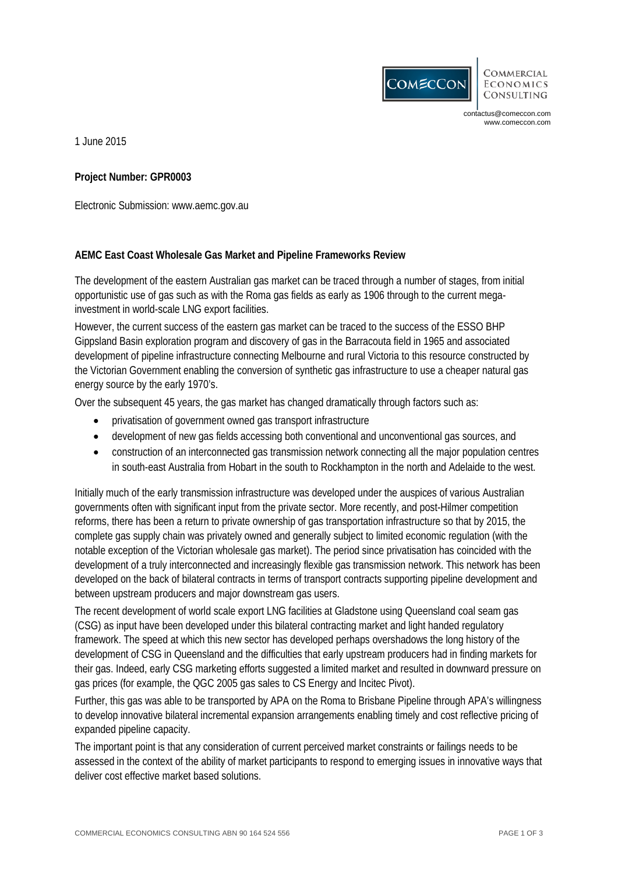

**COMMERCIAL ECONOMICS CONSULTING** 

contactus@comeccon.com www.comeccon.com

1 June 2015

## **Project Number: GPR0003**

Electronic Submission: www.aemc.gov.au

## **AEMC East Coast Wholesale Gas Market and Pipeline Frameworks Review**

The development of the eastern Australian gas market can be traced through a number of stages, from initial opportunistic use of gas such as with the Roma gas fields as early as 1906 through to the current megainvestment in world-scale LNG export facilities.

However, the current success of the eastern gas market can be traced to the success of the ESSO BHP Gippsland Basin exploration program and discovery of gas in the Barracouta field in 1965 and associated development of pipeline infrastructure connecting Melbourne and rural Victoria to this resource constructed by the Victorian Government enabling the conversion of synthetic gas infrastructure to use a cheaper natural gas energy source by the early 1970's.

Over the subsequent 45 years, the gas market has changed dramatically through factors such as:

- privatisation of government owned gas transport infrastructure
- development of new gas fields accessing both conventional and unconventional gas sources, and
- construction of an interconnected gas transmission network connecting all the major population centres in south-east Australia from Hobart in the south to Rockhampton in the north and Adelaide to the west.

Initially much of the early transmission infrastructure was developed under the auspices of various Australian governments often with significant input from the private sector. More recently, and post-Hilmer competition reforms, there has been a return to private ownership of gas transportation infrastructure so that by 2015, the complete gas supply chain was privately owned and generally subject to limited economic regulation (with the notable exception of the Victorian wholesale gas market). The period since privatisation has coincided with the development of a truly interconnected and increasingly flexible gas transmission network. This network has been developed on the back of bilateral contracts in terms of transport contracts supporting pipeline development and between upstream producers and major downstream gas users.

The recent development of world scale export LNG facilities at Gladstone using Queensland coal seam gas (CSG) as input have been developed under this bilateral contracting market and light handed regulatory framework. The speed at which this new sector has developed perhaps overshadows the long history of the development of CSG in Queensland and the difficulties that early upstream producers had in finding markets for their gas. Indeed, early CSG marketing efforts suggested a limited market and resulted in downward pressure on gas prices (for example, the QGC 2005 gas sales to CS Energy and Incitec Pivot).

Further, this gas was able to be transported by APA on the Roma to Brisbane Pipeline through APA's willingness to develop innovative bilateral incremental expansion arrangements enabling timely and cost reflective pricing of expanded pipeline capacity.

The important point is that any consideration of current perceived market constraints or failings needs to be assessed in the context of the ability of market participants to respond to emerging issues in innovative ways that deliver cost effective market based solutions.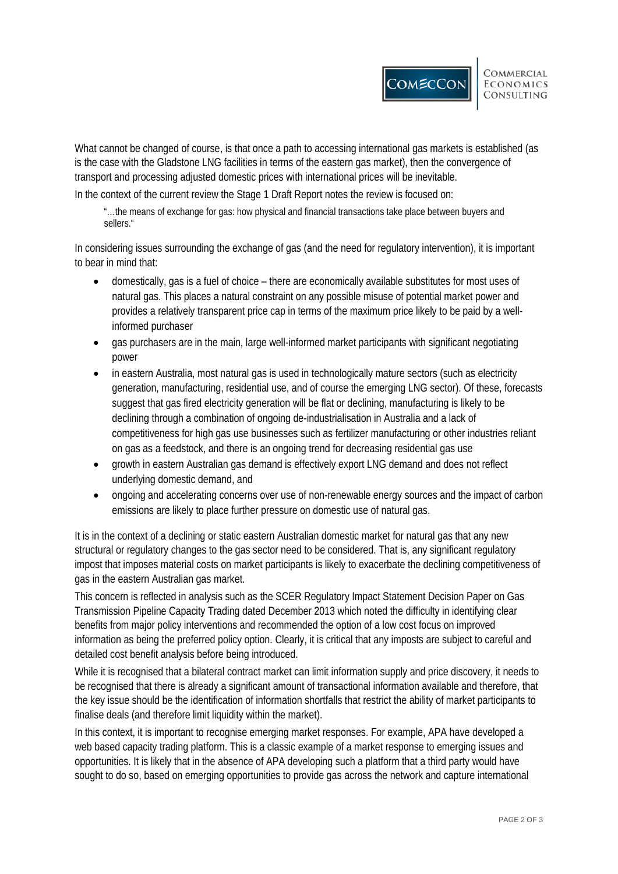What cannot be changed of course, is that once a path to accessing international gas markets is established (as is the case with the Gladstone LNG facilities in terms of the eastern gas market), then the convergence of transport and processing adjusted domestic prices with international prices will be inevitable.

In the context of the current review the Stage 1 Draft Report notes the review is focused on:

"…the means of exchange for gas: how physical and financial transactions take place between buyers and sellers."

In considering issues surrounding the exchange of gas (and the need for regulatory intervention), it is important to bear in mind that:

- domestically, gas is a fuel of choice there are economically available substitutes for most uses of natural gas. This places a natural constraint on any possible misuse of potential market power and provides a relatively transparent price cap in terms of the maximum price likely to be paid by a wellinformed purchaser
- gas purchasers are in the main, large well-informed market participants with significant negotiating power
- in eastern Australia, most natural gas is used in technologically mature sectors (such as electricity generation, manufacturing, residential use, and of course the emerging LNG sector). Of these, forecasts suggest that gas fired electricity generation will be flat or declining, manufacturing is likely to be declining through a combination of ongoing de-industrialisation in Australia and a lack of competitiveness for high gas use businesses such as fertilizer manufacturing or other industries reliant on gas as a feedstock, and there is an ongoing trend for decreasing residential gas use
- growth in eastern Australian gas demand is effectively export LNG demand and does not reflect underlying domestic demand, and
- ongoing and accelerating concerns over use of non-renewable energy sources and the impact of carbon emissions are likely to place further pressure on domestic use of natural gas.

It is in the context of a declining or static eastern Australian domestic market for natural gas that any new structural or regulatory changes to the gas sector need to be considered. That is, any significant regulatory impost that imposes material costs on market participants is likely to exacerbate the declining competitiveness of gas in the eastern Australian gas market.

This concern is reflected in analysis such as the SCER Regulatory Impact Statement Decision Paper on Gas Transmission Pipeline Capacity Trading dated December 2013 which noted the difficulty in identifying clear benefits from major policy interventions and recommended the option of a low cost focus on improved information as being the preferred policy option. Clearly, it is critical that any imposts are subject to careful and detailed cost benefit analysis before being introduced.

While it is recognised that a bilateral contract market can limit information supply and price discovery, it needs to be recognised that there is already a significant amount of transactional information available and therefore, that the key issue should be the identification of information shortfalls that restrict the ability of market participants to finalise deals (and therefore limit liquidity within the market).

In this context, it is important to recognise emerging market responses. For example, APA have developed a web based capacity trading platform. This is a classic example of a market response to emerging issues and opportunities. It is likely that in the absence of APA developing such a platform that a third party would have sought to do so, based on emerging opportunities to provide gas across the network and capture international